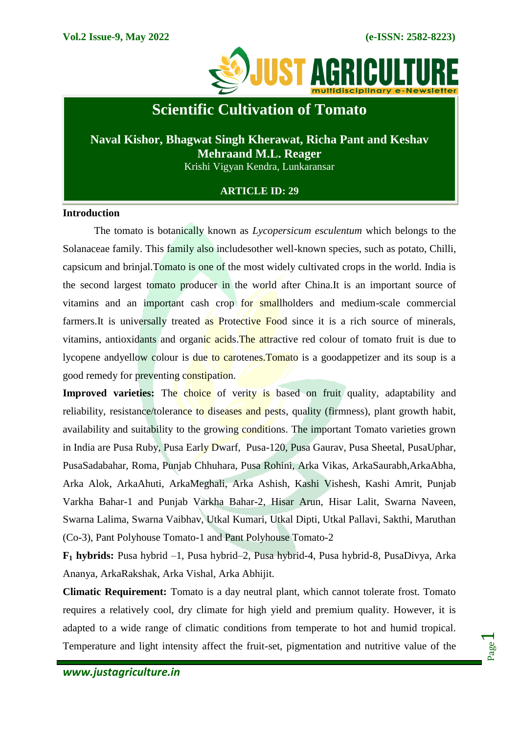

# **Scientific Cultivation of Tomato**

# **Naval Kishor, Bhagwat Singh Kherawat, Richa Pant and Keshav Mehraand M.L. Reager**

Krishi Vigyan Kendra, Lunkaransar

## **ARTICLE ID: 29**

### **Introduction**

The tomato is botanically known as *Lycopersicum esculentum* which belongs to the Solanaceae family. This family also includesother well-known species, such as potato, Chilli, capsicum and brinjal.Tomato is one of the most widely cultivated crops in the world. India is the second largest tomato producer in the world after China.It is an important source of vitamins and an important cash crop for smallholders and medium-scale commercial farmers. It is universally treated as Protective Food since it is a rich source of minerals, vitamins, antioxidants and organic acids.The attractive red colour of tomato fruit is due to lycopene andyellow colour is due to carotenes. Tomato is a goodappetizer and its soup is a good remedy for preventing constipation.

**Improved varieties:** The choice of verity is based on fruit quality, adaptability and reliability, resistance/tolerance to diseases and pests, quality (firmness), plant growth habit, availability and suitability to the growing conditions. The important Tomato varieties grown in India are Pusa Ruby, Pusa Early Dwarf, Pusa-120, Pusa Gaurav, Pusa Sheetal, PusaUphar, PusaSadabahar, Roma, Punjab Chhuhara, Pusa Rohini, Arka Vikas, ArkaSaurabh,ArkaAbha, Arka Alok, ArkaAhuti, ArkaMeghali, Arka Ashish, Kashi Vishesh, Kashi Amrit, Punjab Varkha Bahar-1 and Punjab Varkha Bahar-2, Hisar Arun, Hisar Lalit, Swarna Naveen, Swarna Lalima, Swarna Vaibhav, Utkal Kumari, Utkal Dipti, Utkal Pallavi, Sakthi, Maruthan (Co-3), Pant Polyhouse Tomato-1 and Pant Polyhouse Tomato-2

**F<sup>1</sup> hybrids:** Pusa hybrid –1, Pusa hybrid–2, Pusa hybrid-4, Pusa hybrid-8, PusaDivya, Arka Ananya, ArkaRakshak, Arka Vishal, Arka Abhijit.

**Climatic Requirement:** Tomato is a day neutral plant, which cannot tolerate frost. Tomato requires a relatively cool, dry climate for high yield and premium quality. However, it is adapted to a wide range of climatic conditions from temperate to hot and humid tropical. Temperature and light intensity affect the fruit-set, pigmentation and nutritive value of the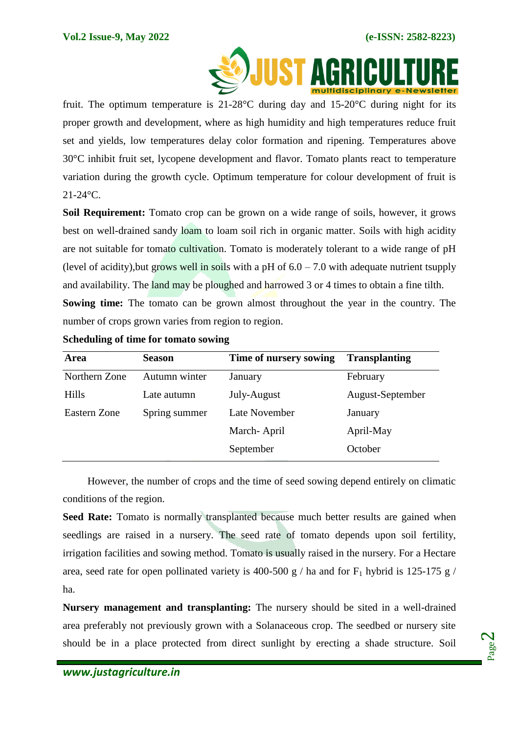

 fruit. The optimum temperature is 21-28 $\degree$ C during day and 15-20 $\degree$ C during night for its proper growth and development, where as high humidity and high temperatures reduce fruit set and yields, low temperatures delay color formation and ripening. Temperatures above 30°C inhibit fruit set, lycopene development and flavor. Tomato plants react to temperature variation during the growth cycle. Optimum temperature for colour development of fruit is 21-24°C.

**Soil Requirement:** Tomato crop can be grown on a wide range of soils, however, it grows best on well-drained sandy loam to loam soil rich in organic matter. Soils with high acidity are not suitable for tomato cultivation. Tomato is moderately tolerant to a wide range of pH (level of acidity), but grows well in soils with a pH of  $6.0 - 7.0$  with adequate nutrient tsupply and availability. The land may be ploughed and harrowed 3 or 4 times to obtain a fine tilth. **Sowing time:** The tomato can be grown almost throughout the year in the country. The number of crops grown varies from region to region.

| Area          | <b>Season</b> | Time of nursery sowing | <b>Transplanting</b> |
|---------------|---------------|------------------------|----------------------|
| Northern Zone | Autumn winter | January                | February             |
| <b>Hills</b>  | Late autumn   | July-August            | August-September     |
| Eastern Zone  | Spring summer | Late November          | January              |
|               |               | March-April            | April-May            |
|               |               | September              | October              |

**Scheduling of time for tomato sowing**

However, the number of crops and the time of seed sowing depend entirely on climatic conditions of the region.

**Seed Rate:** Tomato is normally transplanted because much better results are gained when seedlings are raised in a nursery. The seed rate of tomato depends upon soil fertility, irrigation facilities and sowing method. Tomato is usually raised in the nursery. For a Hectare area, seed rate for open pollinated variety is 400-500 g / ha and for  $F_1$  hybrid is 125-175 g / ha.

**Nursery management and transplanting:** The nursery should be sited in a well-drained area preferably not previously grown with a Solanaceous crop. The seedbed or nursery site should be in a place protected from direct sunlight by erecting a shade structure. Soil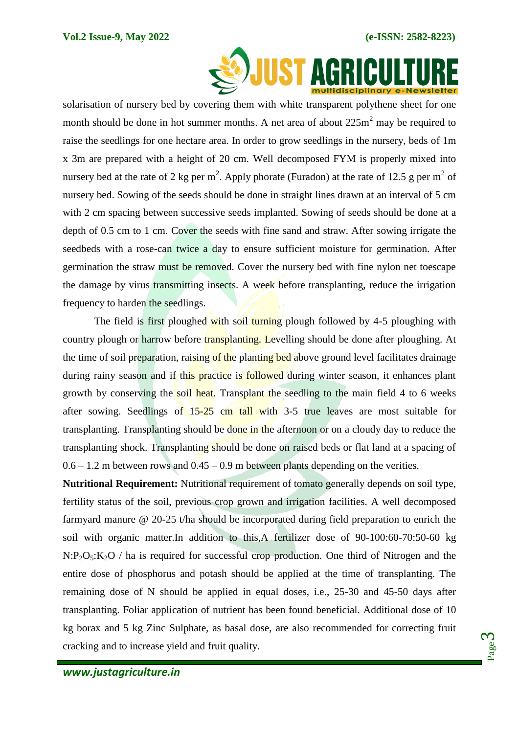

solarisation of nursery bed by covering them with white transparent polythene sheet for one month should be done in hot summer months. A net area of about  $225m^2$  may be required to raise the seedlings for one hectare area. In order to grow seedlings in the nursery, beds of 1m x 3m are prepared with a height of 20 cm. Well decomposed FYM is properly mixed into nursery bed at the rate of 2 kg per m<sup>2</sup>. Apply phorate (Furadon) at the rate of 12.5 g per m<sup>2</sup> of nursery bed. Sowing of the seeds should be done in straight lines drawn at an interval of 5 cm with 2 cm spacing between successive seeds implanted. Sowing of seeds should be done at a depth of 0.5 cm to 1 cm. Cover the seeds with fine sand and straw. After sowing irrigate the seedbeds with a rose-can twice a day to ensure sufficient moisture for germination. After germination the straw must be removed. Cover the nursery bed with fine nylon net toescape the damage by virus transmitting insects. A week before transplanting, reduce the irrigation frequency to harden the seedlings.

The field is first ploughed with soil turning plough followed by 4-5 ploughing with country plough or harrow before transplanting. Levelling should be done after ploughing. At the time of soil preparation, raising of the planting bed above ground level facilitates drainage during rainy season and if this practice is followed during winter season, it enhances plant growth by conserving the soil heat. Transplant the seedling to the main field 4 to 6 weeks after sowing. Seedlings of  $15-25$  cm tall with 3-5 true leaves are most suitable for transplanting. Transplanting should be done in the afternoon or on a cloudy day to reduce the transplanting shock. Transplanting should be done on raised beds or flat land at a spacing of  $0.6 - 1.2$  m between rows and  $0.45 - 0.9$  m between plants depending on the verities.

**Nutritional Requirement:** Nutritional requirement of tomato generally depends on soil type, fertility status of the soil, previous crop grown and irrigation facilities. A well decomposed farmyard manure @ 20-25 t/ha should be incorporated during field preparation to enrich the soil with organic matter.In addition to this,A fertilizer dose of 90-100:60-70:50-60 kg  $N:P_2O_5:K_2O$  / ha is required for successful crop production. One third of Nitrogen and the entire dose of phosphorus and potash should be applied at the time of transplanting. The remaining dose of N should be applied in equal doses, i.e., 25-30 and 45-50 days after transplanting. Foliar application of nutrient has been found beneficial. Additional dose of 10 kg borax and 5 kg Zinc Sulphate, as basal dose, are also recommended for correcting fruit cracking and to increase yield and fruit quality.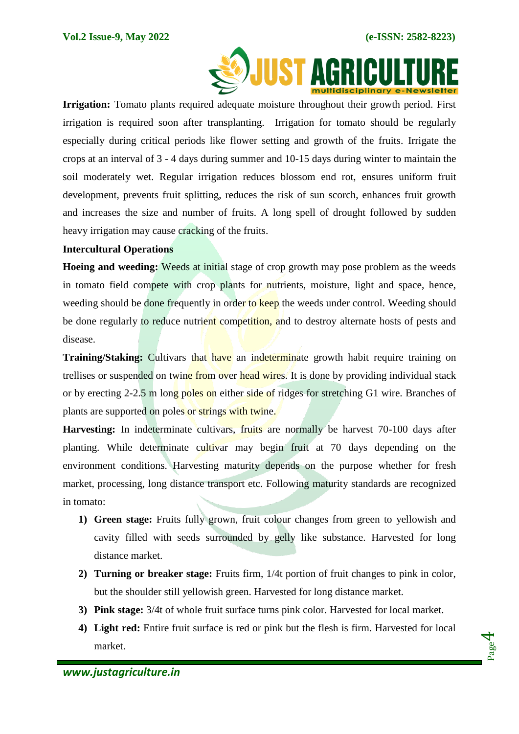

 **Irrigation:** Tomato plants required adequate moisture throughout their growth period. First irrigation is required soon after transplanting. Irrigation for tomato should be regularly especially during critical periods like flower setting and growth of the fruits. Irrigate the crops at an interval of 3 - 4 days during summer and 10-15 days during winter to maintain the soil moderately wet. Regular irrigation reduces blossom end rot, ensures uniform fruit development, prevents fruit splitting, reduces the risk of sun scorch, enhances fruit growth and increases the size and number of fruits. A long spell of drought followed by sudden heavy irrigation may cause cracking of the fruits.

### **Intercultural Operations**

**Hoeing and weeding:** Weeds at initial stage of crop growth may pose problem as the weeds in tomato field compete with crop plants for nutrients, moisture, light and space, hence, weeding should be done frequently in order to keep the weeds under control. Weeding should be done regularly to reduce nutrient competition, and to destroy alternate hosts of pests and disease.

**Training/Staking:** Cultivars that have an indeterminate growth habit require training on trellises or suspended on twine from over head wires. It is done by providing individual stack or by erecting 2-2.5 m long poles on either side of ridges for stretching G1 wire. Branches of plants are supported on poles or strings with twine.

**Harvesting:** In indeterminate cultivars, fruits are normally be harvest 70-100 days after planting. While determinate cultivar may begin fruit at 70 days depending on the environment conditions. Harvesting maturity depends on the purpose whether for fresh market, processing, long distance transport etc. Following maturity standards are recognized in tomato:

- **1) Green stage:** Fruits fully grown, fruit colour changes from green to yellowish and cavity filled with seeds surrounded by gelly like substance. Harvested for long distance market.
- **2) Turning or breaker stage:** Fruits firm, 1/4t portion of fruit changes to pink in color, but the shoulder still yellowish green. Harvested for long distance market.
- **3) Pink stage:** 3/4t of whole fruit surface turns pink color. Harvested for local market.
- **4) Light red:** Entire fruit surface is red or pink but the flesh is firm. Harvested for local market.